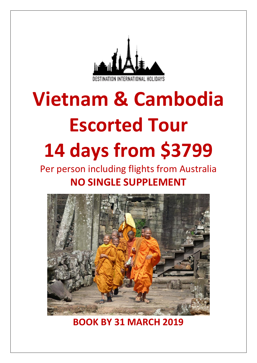

# **Vietnam & Cambodia Escorted Tour 14 days from \$3799**

# Per person including flights from Australia **NO SINGLE SUPPLEMENT**



**BOOK BY 31 MARCH 2019**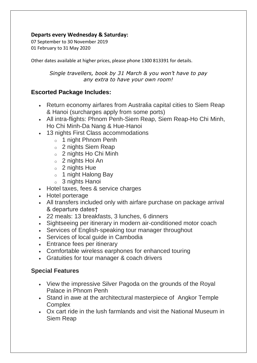# **Departs every Wednesday & Saturday:**

07 September to 30 November 2019 01 February to 31 May 2020

Other dates available at higher prices, please phone 1300 813391 for details.

*Single travellers, book by 31 March & you won't have to pay any extra to have your own room!*

# **Escorted Package Includes:**

- Return economy airfares from Australia capital cities to Siem Reap & Hanoi (surcharges apply from some ports)
- All intra-flights: Phnom Penh-Siem Reap, Siem Reap-Ho Chi Minh, Ho Chi Minh-Da Nang & Hue-Hanoi
- 13 nights First Class accommodations
	- o 1 night Phnom Penh
	- o 2 nights Siem Reap
	- o 2 nights Ho Chi Minh
	- o 2 nights Hoi An
	- $\circ$  2 nights Hue
	- o 1 night Halong Bay
	- o 3 nights Hanoi
- Hotel taxes, fees & service charges
- Hotel porterage
- All transfers included only with airfare purchase on package arrival & departure dates†
- 22 meals: 13 breakfasts, 3 lunches, 6 dinners
- Sightseeing per itinerary in modern air-conditioned motor coach
- Services of English-speaking tour manager throughout
- Services of local guide in Cambodia
- Entrance fees per itinerary
- Comfortable wireless earphones for enhanced touring
- Gratuities for tour manager & coach drivers

# **Special Features**

- View the impressive Silver Pagoda on the grounds of the Royal Palace in Phnom Penh
- Stand in awe at the architectural masterpiece of Angkor Temple **Complex**
- Ox cart ride in the lush farmlands and visit the National Museum in Siem Reap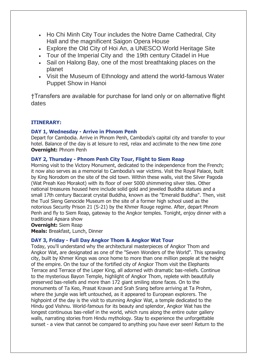- Ho Chi Minh City Tour includes the Notre Dame Cathedral, City Hall and the magnificent Saigon Opera House
- Explore the Old City of Hoi An, a UNESCO World Heritage Site
- Tour of the Imperial City and the 19th century Citadel in Hue
- Sail on Halong Bay, one of the most breathtaking places on the planet
- Visit the Museum of Ethnology and attend the world-famous Water Puppet Show in Hanoi

†Transfers are available for purchase for land only or on alternative flight dates

# **ITINERARY:**

# **DAY 1, Wednesday - Arrive in Phnom Penh**

Depart for Cambodia. Arrive in Phnom Penh, Cambodia's capital city and transfer to your hotel. Balance of the day is at leisure to rest, relax and acclimate to the new time zone **Overnight:** Phnom Penh

## **DAY 2, Thursday - Phnom Penh City Tour, Flight to Siem Reap**

Morning visit to the Victory Monument, dedicated to the independence from the French; it now also serves as a memorial to Cambodia's war victims. Visit the Royal Palace, built by King Norodom on the site of the old town. Within these walls, visit the Silver Pagoda (Wat Preah Keo Morakot) with its floor of over 5000 shimmering silver tiles. Other national treasures housed here include solid gold and jeweled Buddha statues and a small 17th century Baccarat crystal Buddha, known as the "Emerald Buddha". Then, visit the Tuol Sleng Genocide Museum on the site of a former high school used as the notorious Security Prison 21 (S-21) by the Khmer Rouge regime. After, depart Phnom Penh and fly to Siem Reap, gateway to the Angkor temples. Tonight, enjoy dinner with a traditional Apsara show

**Overnight:** Siem Reap

**Meals:** Breakfast, Lunch, Dinner

# **DAY 3, Friday - Full Day Angkor Thom & Angkor Wat Tour**

Today, you'll understand why the architectural masterpieces of Angkor Thom and Angkor Wat, are designated as one of the "Seven Wonders of the World". This sprawling city, built by Khmer Kings was once home to more than one million people at the height of the empire. On the tour of the fortified city of Angkor Thom visit the Elephants Terrace and Terrace of the Leper King, all adorned with dramatic bas-reliefs. Continue to the mysterious Bayon Temple, highlight of Angkor Thom, replete with beautifully preserved bas-reliefs and more than 172 giant smiling stone faces. On to the monuments of Ta Keo, Prasat Kravan and Srah Srang before arriving at Ta Prohm, where the jungle was left untouched, as it appeared to European explorers. The highpoint of the day is the visit to stunning Angkor Wat, a temple dedicated to the Hindu god Vishnu. World-famous for its beauty and splendor, Angkor Wat has the longest continuous bas-relief in the world, which runs along the entire outer gallery walls, narrating stories from Hindu mythology. Stay to experience the unforgettable sunset - a view that cannot be compared to anything you have ever seen! Return to the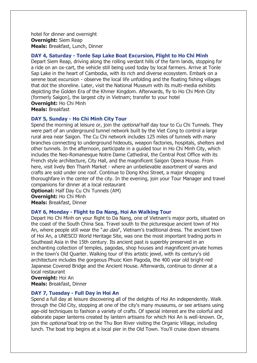hotel for dinner and overnight **Overnight:** Siem Reap **Meals:** Breakfast, Lunch, Dinner

#### **DAY 4, Saturday - Tonle Sap Lake Boat Excursion, Flight to Ho Chi Minh**

Depart Siem Reap, driving along the rolling verdant hills of the farm lands, stopping for a ride on an ox-cart, the vehicle still being used today by local farmers. Arrive at Tonle Sap Lake in the heart of Cambodia, with its rich and diverse ecosystem. Embark on a serene boat excursion - observe the local life unfolding and the floating fishing villages that dot the shoreline. Later, visit the National Museum with its multi-media exhibits depicting the Golden Era of the Khmer Kingdom. Afterwards, fly to Ho Chi Minh City (formerly Saigon), the largest city in Vietnam; transfer to your hotel **Overnight:** Ho Chi Minh

**Meals:** Breakfast

#### **DAY 5, Sunday - Ho Chi Minh City Tour**

Spend the morning at leisure or, join the *optional* half day tour to Cu Chi Tunnels. They were part of an underground tunnel network built by the Viet Cong to control a large rural area near Saigon. The Cu Chi network includes 125 miles of tunnels with many branches connecting to underground hideouts, weapon factories, hospitals, shelters and other tunnels. In the afternoon, participate in a guided tour in Ho Chi Minh City, which includes the Neo-Romanesque Notre Dame Cathedral, the Central Post Office with its French style architecture, City Hall, and the magnificent Saigon Opera House. From here, visit lively Ben Thanh Market - where an unbelievable assortment of wares and crafts are sold under one roof. Continue to Dong Khoi Street, a major shopping thoroughfare in the center of the city. In the evening, join your Tour Manager and travel companions for dinner at a local restaurant

**Optional:** Half Day Cu Chi Tunnels (AM) **Overnight:** Ho Chi Minh **Meals:** Breakfast, Dinner

#### **DAY 6, Monday - Flight to Da Nang, Hoi An Walking Tour**

Depart Ho Chi Minh on your flight to Da Nang, one of Vietnam's major ports, situated on the coast of the South China Sea. Travel south to the picturesque ancient town of Hoi An, where people still wear the "ao dais", Vietnam's traditional dress. The ancient town of Hoi An, a UNESCO World Heritage Site, was one the most important trading ports in Southeast Asia in the 15th century. Its ancient past is superbly preserved in an enchanting collection of temples, pagodas, shop houses and magnificent private homes in the town's Old Quarter. Walking tour of this artistic jewel, with its century's old architecture includes the gorgeous Phuoc Kien Pagoda, the 400 year old bright-red Japanese Covered Bridge and the Ancient House. Afterwards, continue to dinner at a local restaurant

**Overnight:** Hoi An **Meals:** Breakfast, Dinner

#### **DAY 7, Tuesday - Full Day in Hoi An**

Spend a full day at leisure discovering all of the delights of Hoi An independently. Walk through the Old City, stopping at one of the city's many museums, or see artisans using age-old techniques to fashion a variety of crafts. Of special interest are the colorful and elaborate paper lanterns created by lantern artisans for which Hoi An is well-known. Or, join the *optional* boat trip on the Thu Bon River visiting the Organic Village, including lunch. The boat trip begins at a local pier in the Old Town. You'll cruise down streams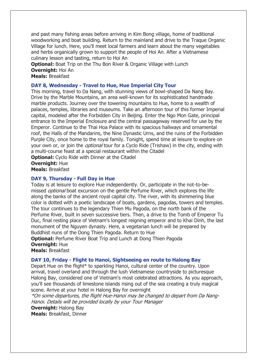and past many fishing areas before arriving in Kim Bong village, home of traditional woodworking and boat building. Return to the mainland and drive to the Traque Organic Village for lunch. Here, you'll meet local farmers and learn about the many vegetables and herbs organically grown to support the people of Hoi An. After a Vietnamese culinary lesson and tasting, return to Hoi An

**Optional:** Boat Trip on the Thu Bon River & Organic Village with Lunch **Overnight:** Hoi An

**Meals:** Breakfast

#### **DAY 8, Wednesday - Travel to Hue, Hue Imperial City Tour**

This morning, travel to Da Nang, with stunning views of bowl-shaped Da Nang Bay. Drive by the Marble Mountains, an area well-known for its sophisticated handmade marble products. Journey over the towering mountains to Hue, home to a wealth of palaces, temples, libraries and museums. Take an afternoon tour of this former Imperial capital, modeled after the Forbidden City in Beijing. Enter the Ngo Mon Gate, principal entrance to the Imperial Enclosure and the central passageway reserved for use by the Emperor. Continue to the Thai Hoa Palace with its spacious hallways and ornamental roof, the Halls of the Mandarins, the Nine Dynastic Urns, and the ruins of the Forbidden Purple City, once home to the royal family. Tonight, spend time at leisure to explore on your own or, or join the *optional* tour for a Cyclo Ride (Trishaw) in the city, ending with a multi-course feast at a special restaurant within the Citadel

**Optional:** Cyclo Ride with Dinner at the Citadel

**Overnight:** Hue

**Meals:** Breakfast

#### **DAY 9, Thursday - Full Day in Hue**

Today is at leisure to explore Hue independently. Or, participate in the not-to-bemissed *optional* boat excursion on the gentle Perfume River, which explores the life along the banks of the ancient royal capital city. The river, with its shimmering blue color is dotted with a poetic landscape of boats, gardens, pagodas, towers and temples. The tour continues to the legendary Thien Mu Pagoda, on the north bank of the Perfume River, built in seven successive tiers. Then, a drive to the Tomb of Emperor Tu Duc, final resting place of Vietnam's longest reigning emperor and to Khai Dinh, the last monument of the Nguyen dynasty. Here, a vegetarian lunch will be prepared by Buddhist nuns of the Dong Thien Pagoda. Return to Hue

**Optional:** Perfume River Boat Trip and Lunch at Dong Thien Pagoda **Overnight:** Hue

**Meals:** Breakfast

#### **DAY 10, Friday - Flight to Hanoi, Sightseeing en route to Halong Bay**

Depart Hue on the flight\* to sparkling Hanoi, cultural center of the country. Upon arrival, travel overland and through the lush Vietnamese countryside to picturesque Halong Bay, considered one of Vietnam's most celebrated attractions. As you approach, you'll see thousands of limestone islands rising out of the sea creating a truly magical scene. Arrive at your hotel in Halong Bay for overnight

\*On some departures, the flight Hue-Hanoi may be changed to depart from Da Nang-Hanoi. Details will be provided locally by your Tour Manager

**Overnight:** Halong Bay **Meals:** Breakfast, Dinner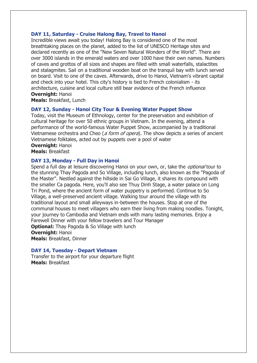#### **DAY 11, Saturday - Cruise Halong Bay, Travel to Hanoi**

Incredible views await you today! Halong Bay is considered one of the most breathtaking places on the planet, added to the list of UNESCO Heritage sites and declared recently as one of the "New Seven Natural Wonders of the World". There are over 3000 islands in the emerald waters and over 1000 have their own names. Numbers of caves and grottos of all sizes and shapes are filled with small waterfalls, stalactites and stalagmites. Sail on a traditional wooden boat on the tranquil bay with lunch served on board. Visit to one of the caves. Afterwards, drive to Hanoi, Vietnam's vibrant capital and check into your hotel. This city's history is tied to French colonialism - its architecture, cuisine and local culture still bear evidence of the French influence **Overnight:** Hanoi

**Meals:** Breakfast, Lunch

#### **DAY 12, Sunday - Hanoi City Tour & Evening Water Puppet Show**

Today, visit the Museum of Ethnology, center for the preservation and exhibition of cultural heritage for over 50 ethnic groups in Vietnam. In the evening, attend a performance of the world-famous Water Puppet Show, accompanied by a traditional Vietnamese orchestra and Cheo (a form of opera). The show depicts a series of ancient Vietnamese folktales, acted out by puppets over a pool of water **Overnight:** Hanoi

**Meals:** Breakfast

#### **DAY 13, Monday - Full Day in Hanoi**

Spend a full day at leisure discovering Hanoi on your own, or, take the *optional* tour to the stunning Thay Pagoda and So Village, including lunch, also known as the "Pagoda of the Master". Nestled against the hillside in Sai Go Village, it shares its compound with the smaller Ca pagoda. Here, you'll also see Thuy Dinh Stage, a water palace on Long Tri Pond, where the ancient form of water puppetry is performed. Continue to So Village, a well-preserved ancient village. Walking tour around the village with its traditional layout and small alleyways in-between the houses. Stop at one of the communal houses to meet villagers who earn their living from making noodles. Tonight, your journey to Cambodia and Vietnam ends with many lasting memories. Enjoy a Farewell Dinner with your fellow travelers and Tour Manager **Optional:** Thay Pagoda & So Village with lunch **Overnight:** Hanoi **Meals:** Breakfast, Dinner

#### **DAY 14, Tuesday - Depart Vietnam**

Transfer to the airport for your departure flight **Meals:** Breakfast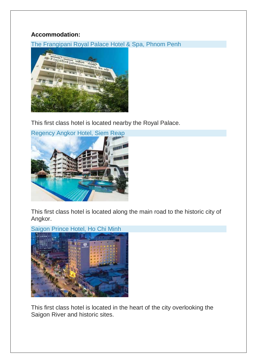# **Accommodation:**

The Frangipani Royal Palace Hotel & Spa, Phnom Penh



This first class hotel is located nearby the Royal Palace.



This first class hotel is located along the main road to the historic city of Angkor.



This first class hotel is located in the heart of the city overlooking the Saigon River and historic sites.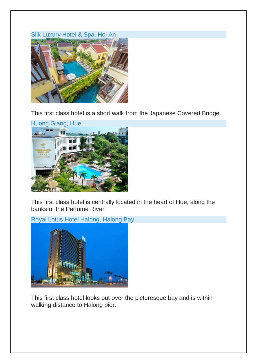# Silk Luxury Hotel & Spa, Hoi An



This first class hotel is a short walk from the Japanese Covered Bridge.



This first class hotel is centrally located in the heart of Hue, along the banks of the Perfume River.

Royal Lotus Hotel Halong, Halong Bay



This first class hotel looks out over the picturesque bay and is within walking distance to Halong pier.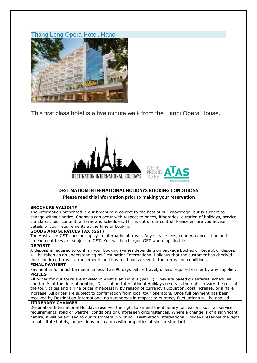



This first class hotel is a five minute walk from the Hanoi Opera House.



## **DESTINATION INTERNATIONAL HOLIDAYS BOOKING CONDITIONS Please read this information prior to making your reservation**

#### **BROCHURE VALIDITY**

The information presented in our brochure is correct to the best of our knowledge, but is subject to change without notice. Changes can occur with respect to prices, itineraries, duration of holidays, service standards, tour content, airfares and schedules. This is out of our control. Please ensure you advise details of your requirements at the time of booking.

#### **GOODS AND SERVICES TAX (GST)**

The Australian GST does not apply to international travel. Any service fees, courier, cancellation and amendment fees are subject to GST. You will be charged GST where applicable.

#### **DEPOSIT**

A deposit is required to confirm your booking (varies depending on package booked). Receipt of deposit will be taken as an understanding by Destination International Holidays that the customer has checked their confirmed travel arrangements and has read and agreed to the terms and conditions.

#### **FINAL PAYMENT**

Payment in full must be made no less than 90 days before travel, unless required earlier by any supplier. **PRICES**

All prices for our tours are advised in Australian Dollars (\$AUD). They are based on airfares, schedules and tariffs at the time of printing. Destination International Holidays reserves the right to vary the cost of the tour, taxes and airline prices if necessary by reason of currency fluctuation, cost increase, or airfare increase. All prices are subject to confirmation from local tour operators. Once full payment has been received by Destination International no surcharges in respect to currency fluctuations will be applied.

#### **ITINERARY CHANGES**

Destination International Holidays reserves the right to amend the itinerary for reasons such as service requirements, road or weather conditions or unforeseen circumstances. Where a change is of a significant nature, it will be advised to our customers in writing. Destination International Holidays reserves the right to substitute hotels, lodges, inns and camps with properties of similar standard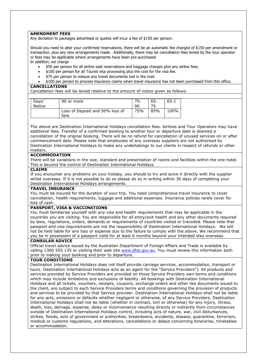#### **AMENDMENT FEES**

Any deviation to packages advertised or quotes will incur a fee of \$150 per person.

Should you need to alter your confirmed reservations, there will be an automatic fee charged of \$150 per amendment or transaction, plus any new arrangements made. Additionally, there may be cancellation fees levied by the tour operator or fees may be applicable where arrangements have been pre-purchased. In addition, we charge

- \$50 per person for all airline seat reservations and baggage charges plus any airline fees.
- \$100 per person for all Tourist visa processing plus the cost for the visa fee.
- \$75 per person to reissue any travel documents lost in the mail.
- \$100 per person to process insurance claims when travel insurance has not been purchased from this office.

#### **CANCELLATIONS**

Cancellation fees will be levied relative to the amount of notice given as follows:

| Davs'         | 90 or more                      | 75- | 65- | $65 - 1$ |
|---------------|---------------------------------|-----|-----|----------|
| <b>Notice</b> |                                 | 90  |     |          |
|               | Loss of Deposit and 50% loss of | 75% | 85% | 100%     |
|               | tare                            |     |     |          |

The above are Destination International Holidays cancellation fees. Airlines and Tour Operators may have additional fees. Transfer of a confirmed booking to another tour or departure date is deemed a cancellation of the original booking. There will be no refund for cancellation of unused services on or after commencement date. Please note that employees of any overseas suppliers are not authorised by Destination International Holidays to make any undertakings to our clients in respect of refunds or other matters.

#### **ACCOMMODATION**

There will be variations in the size, standard and presentation of rooms and facilities within the one hotel. This is beyond the control of Destination International Holidays.

#### **CLAIMS**

If you encounter any problems on your holiday, you should to try and solve it directly with the supplier whilst overseas. If it is not possible to do so please do so in writing within 30 days of completing your Destination International Holidays arrangements.

#### **TRAVEL INSURANCE**

You must be insured for the duration of your trip. You need comprehensive travel insurance to cover cancellation, health requirements, luggage and additional expenses. Insurance policies rarely cover for loss of cash.

#### **PASSPORT, VISA & VACCINATIONS**

You must familiarise yourself with any visa and health requirements that may be applicable in the countries you are visiting. You are responsible for all entry/exit health and any other documents required by laws, regulations, orders, demands or requirements of countries visited or transited. Please note that passport and visa requirements are not the responsibility of Destination International Holidays. We will not be held liable for any loss or expense due to the failure to comply with the above. We recommend that you be in possession of a passport valid for at least 6 months beyond your intended stay overseas.

#### **CONSULAR ADVICE**

Official travel advice issued by the Australian Department of Foreign Affairs and Trade is available by calling 1300 555 135 or visiting their web site [www.dfat.gov.au.](http://www.dfat.gov.au/) You must review this information both prior to making your booking and prior to departure.

#### **TOUR CONDITIONS**

Destination International Holidays does not itself provide carriage services, accommodation, transport or tours. Destination International Holidays acts as an agent for the "Service Providers"). All products and services provided by Service Providers are provided on those Service Providers own terms and conditions which may include limitations and exclusions of liability. All bookings with Destination International Holidays and all tickets, vouchers, receipts, coupons, exchange orders and other like documents issued to the client, are subject to each Service Providers terms and conditions governing the provision of products and services to be provided by that Service provider. Destination International Holidays shall not be liable for any acts, omissions or defaults whether negligent or otherwise, of any Service Providers. Destination International Holidays shall not be liable (whether in contract, tort or otherwise) for any injury, illness, death, loss, damage, expense, delay or inconvenience resulting directly or indirectly from circumstances outside of Destination International Holidays control, including acts of nature, war, civil disturbances, strikes, floods, acts of government or authorities, breakdowns, accidents, disease, quarantine, terrorism, medical or customs regulations, and alterations, cancellations or delays concerning itineraries, timetables or accommodation.